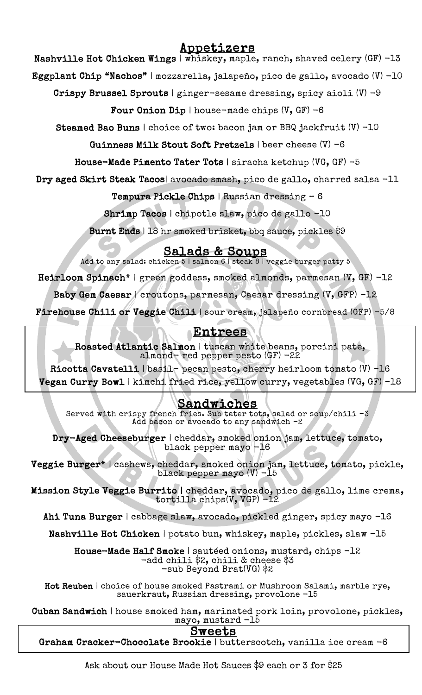# Appetizers

Nashville Hot Chicken Wings | whiskey, maple, ranch, shaved celery (GF) -13

Eggplant Chip "Nachos" | mozzarella, jalapeño, pico de gallo, avocado (V) -10

Crispy Brussel Sprouts | ginger-sesame dressing, spicy aioli (V) -9

Four Onion Dip | house-made chips  $(V, GF) -6$ 

Steamed Bao Buns | choice of two: bacon jam or BBQ jackfruit (V) -10

Guinness Milk Stout Soft Pretzels | beer cheese (V) -6

House-Made Pimento Tater Tots | siracha ketchup (VG, GF) -5

Dry aged Skirt Steak Tacos| avocado smash, pico de gallo, charred salsa -11

Tempura Pickle Chips | Russian dressing – 6

Shrimp Tacos | chipotle slaw, pico de gallo -10

Burnt Ends | 18 hr smoked brisket, bbq sauce, pickles \$9

 $Salds & Soups$ <br>Add to any salad: chicken 5 | salmon 6 | steak 8 | veggie burger patty 5

Heirloom Spinach\* | green goddess, smoked almonds, parmesan (V, GF) -12

Baby Gem Caesar | croutons, parmesan, Caesar dressing (V, GFP) -12

 $\frac{1}{2}$ Firehouse Chili or Veggie Chili | sour cream, jalapeño cornbread (GFP) -5/8

## Entrees

 $\mathbf{a}$ ľ Roasted Atlantic Salmon | tuscan white beans, porcini pate, almond- red pepper pesto (GF) -22

 Ricotta Cavatelli | basil- pecan pesto, cherry heirloom tomato (V) -16 Vegan Curry Bowl | kimchi fried rice, yellow curry, vegetables (VG, GF) -18

#### <u>Sandwiches</u>

spy french fries. Sub tater tots, salad o<br>Add bacon or avocado to any sandwich -2 Served with crispy french fries. Sub tater tots, salad or soup/chili  $-3$ 

 $\mathbf{r}$ I cheddar, smoked oni<br>black pepper mayo -16 Dry-Aged Cheeseburger | cheddar, smoked onion jam, lettuce, tomato,

E. ׆<br>׆  $\overline{\phantom{a}}$ Veggie Burger\* | cashews, cheddar, smoked onion jam, lettuce, tomato, pickle, black pepper mayo (V) -15

Mission Style Veggie Burrito | cheddar, avocado, pico de gallo, lime crema,<br>tentilla abina(V VCP) -12 tortilla chips(V, VGP) -12

Ahi Tuna Burger | cabbage slaw, avocado, pickled ginger, spicy mayo -16

Nashville Hot Chicken | potato bun, whiskey, maple, pickles, slaw -15

Ĩ House-Made Half Smoke | sautéed onions, mustard, chips -12<br>-add chili \$2, chili & cheese \$3 -sub Beyond Brat(VG) \$2 -add chili \$2, chili & cheese \$3

 Hot Reuben | choice of house smoked Pastrami or Mushroom Salami, marble rye, sauerkraut, Russian dressing, provolone -15

 Cuban Sandwich | house smoked ham, marinated pork loin, provolone, pickles, n mam, marinated p<br>mayo, mustard -15

### Sweets

Sweets<br>Graham Cracker-Chocolate Brookie | butterscotch, vanilla ice cream -6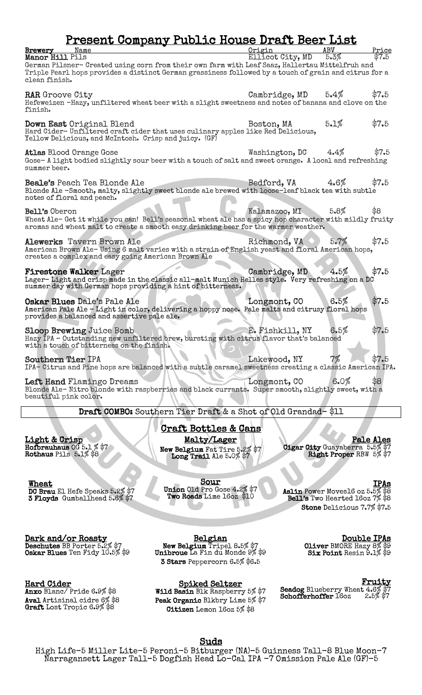## Present Company Public House Draft Beer List

| Brewery<br>Manor Hill Pils                                                                     | Name                                                                                                                                                                                                     | Origin<br>Ellicot City, MD | ABV<br>5.3% | Price<br>\$7.5 |
|------------------------------------------------------------------------------------------------|----------------------------------------------------------------------------------------------------------------------------------------------------------------------------------------------------------|----------------------------|-------------|----------------|
| clean finish.                                                                                  | German Pilsner- Created using corn from their own farm with Leaf Saaz, Hallertau Mittelfruh and<br>Triple Pearl hops provides a distinct German grassiness followed by a touch of grain and citrus for a |                            |             |                |
| <b>RAR</b> Groove City<br>finish.                                                              | Hefeweizen -Hazy, unfiltered wheat beer with a slight sweetness and notes of banana and clove on the                                                                                                     | Cambridge, MD              | 5.4%        | \$7.5          |
|                                                                                                | Down East Original Blend<br>Hard Cider-Unfiltered craft cider that uses culinary apples like Red Delicious,<br>Yellow Delicious, and McIntosh. Crisp and juicy. (GF)                                     | Boston, MA                 | 5.1%        | \$7.5          |
| summer beer.                                                                                   | <b>Atlas Blood Orange Gose</b><br>Gose-A light bodied slightly sour beer with a touch of salt and sweet orange. A local and refreshing                                                                   | Washington, DC             | 4.4%        | \$7.5          |
| notes of floral and peach.                                                                     | <b>Beale's</b> Peach Tea Blonde Ale<br>Blonde Ale -Smooth, malty, slightly sweet blonde ale brewed with loose-leaf black tea with subtle                                                                 | Bedford, VA                | 4.6%        | \$7.5          |
| Bell's Oberon                                                                                  | Wheat Ale- Get it while you can! Bell's seasonal wheat ale has a spicy hop character with mildly fruity<br>aromas and wheat malt to create a smooth easy drinking beer for the warmer weather.           | Kalamazoo, MI              | 5.8%        | \$8            |
|                                                                                                | Alewerks Tavern Brown Ale<br>American Brown Ale-Using 6 malt varies with a strain of English yeast and floral American hops,<br>creates a complex and easy going American Brown Ale                      | Richmond, VA               | 5.7%        | \$7.5          |
|                                                                                                | <b>Firestone Walker Lager</b><br>Lager-Light and crisp made in the classic all-malt Munich Helles style. Very refreshing on a DC<br>summer day with German hops providing a hint of bitterness.          | Cambridge, MD              | 4.5%        | \$7.5          |
|                                                                                                | Oskar Blues Dale's Pale Ale<br>American Pale Ale - Light in color, delivering a hoppy nose. Pale malts and citrusy floral hops<br>provides a balanced and assertive pale ale.                            | Longmont, CO               | 6.5%        | \$7.5          |
|                                                                                                | <b>Sloop Brewing Juice Bomb</b><br>Hazy IPA - Outstanding new unfiltered brew, bursting with citrus flavor that's balanced<br>with a touch of bitterness on the finish.                                  | E. Fishkill, NY            | 6.5%        | \$7.5          |
| Southern Tier IPA                                                                              | IPA- Citrus and Pine hops are balanced with a subtle caramel sweetness creating a classic American IPA.                                                                                                  | Lakewood, NY               | 7%          | \$7.5          |
| beautiful pink color.                                                                          | Left Hand Flamingo Dreams<br>Blonde Ale-Nitro blonde with raspberries and black currants. Super smooth, slightly sweet, with a                                                                           | Longmont, CO               | 6.0%        | 88             |
|                                                                                                | Draft COMBO: Southern Tier Draft & a Shot of Old Grandad-\$11                                                                                                                                            |                            |             |                |
| <u>Craft Bottles &amp; Cans</u><br>Malty/Lager<br><u>Light &amp; Crisp</u><br><b>Pale Ales</b> |                                                                                                                                                                                                          |                            |             |                |
|                                                                                                |                                                                                                                                                                                                          |                            |             |                |

Hofbrauhaus Rothaus Pils 5.1% \$8

 $\overline{\phantom{a}}$ 

Wheat<br>DC Brau El Hefe Speaks 5.2% \$7<br>3 Floyds Gumballhead 5.6% \$7

New Belgium Fat Tire 5.2% \$7<br>Long Trail Ale 5.0% \$7

Sour<br>Union Old Pro Gose 4.2% \$7 Two Roads Lime 16oz \$10

Pale Ales Cigar City Guayaberra 5.5% \$7 Right Proper RBW 5% \$7

 $\overline{\phantom{a}}$ 

Belgian<br>New Belgium Tripel 8.5% \$7<br>Unibroue La Fin du Monde 9% \$9

Hard Cider

Anxo Blanc/ Pride 6.9% \$8<br>Aval Artisinal cidre 6% \$8 Graft Lost Tropic 6.9% \$8

**Dark and/or Roasty<br>Deschutes** BB Porter 5.2% \$7 Oskar Blues Ten Fidy 10.5% \$9

3 Stars Peppercorn 6.5% \$6.5

Spiked Seltzer<br>Wild Basin Blk Raspberry 5% \$7 Peak Organic Blkbry Lime 5% \$7 Citizen Lemon 16oz 5% \$8

IPAs<br>Aslin Power Moves16 oz 5.5% \$8 Bell's Two Hearted 16oz 7% \$8 Stone Delicious 7.7% \$7.5

> **Double IPAs**<br>Oliver BMORE Hazy 8% \$9 Six Point Resin 9.1% \$9

**Fruity**<br>Seadog Blueberry Wheat 4.6% \$7<br>Schofferhoffer 16oz 2.5% \$7

Suds<br>High Life-5 Miller Lite-5 Peroni-5 Bitburger (NA)-5 Guinness Tall-8 Blue Moon-7 Narragansett Lager Tall–5 Dogfish Head Lo-Cal IPA -7 Omission Pale Ale (GF)-5